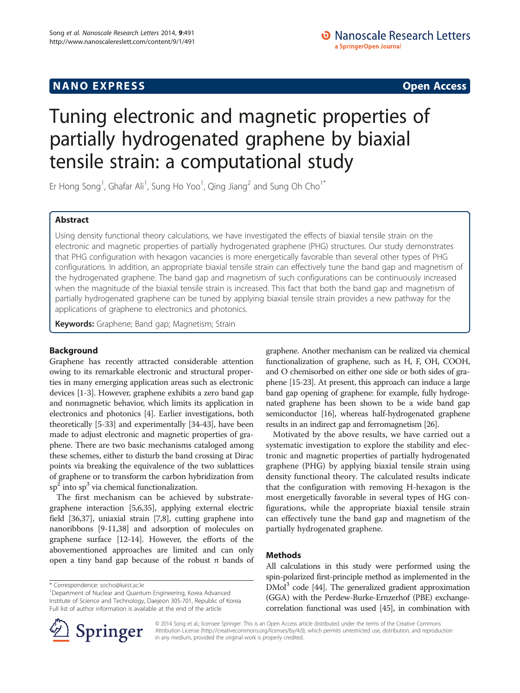# Tuning electronic and magnetic properties of partially hydrogenated graphene by biaxial tensile strain: a computational study

Er Hong Song<sup>1</sup>, Ghafar Ali<sup>1</sup>, Sung Ho Yoo<sup>1</sup>, Qing Jiang<sup>2</sup> and Sung Oh Cho<sup>1\*</sup>

# Abstract

Using density functional theory calculations, we have investigated the effects of biaxial tensile strain on the electronic and magnetic properties of partially hydrogenated graphene (PHG) structures. Our study demonstrates that PHG configuration with hexagon vacancies is more energetically favorable than several other types of PHG configurations. In addition, an appropriate biaxial tensile strain can effectively tune the band gap and magnetism of the hydrogenated graphene. The band gap and magnetism of such configurations can be continuously increased when the magnitude of the biaxial tensile strain is increased. This fact that both the band gap and magnetism of partially hydrogenated graphene can be tuned by applying biaxial tensile strain provides a new pathway for the applications of graphene to electronics and photonics.

Keywords: Graphene; Band gap; Magnetism; Strain

## Background

Graphene has recently attracted considerable attention owing to its remarkable electronic and structural properties in many emerging application areas such as electronic devices [\[1](#page-4-0)-[3](#page-4-0)]. However, graphene exhibits a zero band gap and nonmagnetic behavior, which limits its application in electronics and photonics [\[4\]](#page-4-0). Earlier investigations, both theoretically [[5-](#page-4-0)[33\]](#page-5-0) and experimentally [\[34-43\]](#page-5-0), have been made to adjust electronic and magnetic properties of graphene. There are two basic mechanisms cataloged among these schemes, either to disturb the band crossing at Dirac points via breaking the equivalence of the two sublattices of graphene or to transform the carbon hybridization from  $sp<sup>2</sup>$  into  $sp<sup>3</sup>$  via chemical functionalization.

The first mechanism can be achieved by substrategraphene interaction [[5,6](#page-4-0),[35](#page-5-0)], applying external electric field [[36,37\]](#page-5-0), uniaxial strain [[7,8\]](#page-4-0), cutting graphene into nanoribbons [\[9](#page-4-0)-[11](#page-4-0)[,38\]](#page-5-0) and adsorption of molecules on graphene surface [[12-14](#page-4-0)]. However, the efforts of the abovementioned approaches are limited and can only open a tiny band gap because of the robust π bands of graphene. Another mechanism can be realized via chemical functionalization of graphene, such as H, F, OH, COOH, and O chemisorbed on either one side or both sides of graphene [\[15](#page-4-0)[-23\]](#page-5-0). At present, this approach can induce a large band gap opening of graphene: for example, fully hydrogenated graphene has been shown to be a wide band gap semiconductor [\[16](#page-4-0)], whereas half-hydrogenated graphene results in an indirect gap and ferromagnetism [[26](#page-5-0)].

Motivated by the above results, we have carried out a systematic investigation to explore the stability and electronic and magnetic properties of partially hydrogenated graphene (PHG) by applying biaxial tensile strain using density functional theory. The calculated results indicate that the configuration with removing H-hexagon is the most energetically favorable in several types of HG configurations, while the appropriate biaxial tensile strain can effectively tune the band gap and magnetism of the partially hydrogenated graphene.

## Methods

All calculations in this study were performed using the spin-polarized first-principle method as implemented in the  $DMol<sup>3</sup>$  code [\[44\]](#page-5-0). The generalized gradient approximation (GGA) with the Perdew-Burke-Ernzerhof (PBE) exchangecorrelation functional was used [\[45](#page-5-0)], in combination with



© 2014 Song et al.; licensee Springer. This is an Open Access article distributed under the terms of the Creative Commons Attribution License [\(http://creativecommons.org/licenses/by/4.0\)](http://creativecommons.org/licenses/by/4.0), which permits unrestricted use, distribution, and reproduction in any medium, provided the original work is properly credited.

<sup>\*</sup> Correspondence: [socho@kaist.ac.kr](mailto:socho@kaist.ac.kr) <sup>1</sup>

<sup>&</sup>lt;sup>1</sup>Department of Nuclear and Quantum Engineering, Korea Advanced Institute of Science and Technology, Daejeon 305-701, Republic of Korea Full list of author information is available at the end of the article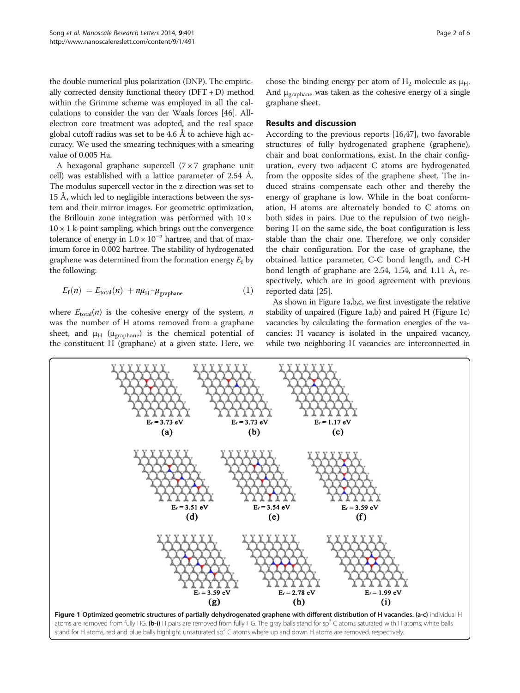<span id="page-1-0"></span>the double numerical plus polarization (DNP). The empirically corrected density functional theory (DFT + D) method within the Grimme scheme was employed in all the calculations to consider the van der Waals forces [[46](#page-5-0)]. Allelectron core treatment was adopted, and the real space global cutoff radius was set to be 4.6 Å to achieve high accuracy. We used the smearing techniques with a smearing value of 0.005 Ha.

A hexagonal graphane supercell  $(7 \times 7)$  graphane unit cell) was established with a lattice parameter of 2.54 Å. The modulus supercell vector in the z direction was set to 15 Å, which led to negligible interactions between the system and their mirror images. For geometric optimization, the Brillouin zone integration was performed with  $10 \times$  $10 \times 1$  k-point sampling, which brings out the convergence tolerance of energy in  $1.0 \times 10^{-5}$  hartree, and that of maximum force in 0.002 hartree. The stability of hydrogenated graphene was determined from the formation energy  $E_f$  by the following:

$$
E_{\rm f}(n) = E_{\rm total}(n) + n\mu_{\rm H} - \mu_{\rm graphane}
$$
 (1)

where  $E_{\text{total}}(n)$  is the cohesive energy of the system, *n* was the number of H atoms removed from a graphane sheet, and  $\mu$ <sub>H</sub> ( $\mu$ <sub>graphane</sub>) is the chemical potential of the constituent H (graphane) at a given state. Here, we chose the binding energy per atom of  $H_2$  molecule as  $\mu_H$ . And μgraphane was taken as the cohesive energy of a single graphane sheet.

## Results and discussion

According to the previous reports [[16](#page-4-0)[,47](#page-5-0)], two favorable structures of fully hydrogenated graphene (graphene), chair and boat conformations, exist. In the chair configuration, every two adjacent C atoms are hydrogenated from the opposite sides of the graphene sheet. The induced strains compensate each other and thereby the energy of graphane is low. While in the boat conformation, H atoms are alternately bonded to C atoms on both sides in pairs. Due to the repulsion of two neighboring H on the same side, the boat configuration is less stable than the chair one. Therefore, we only consider the chair configuration. For the case of graphane, the obtained lattice parameter, C-C bond length, and C-H bond length of graphane are 2.54, 1.54, and 1.11 Å, respectively, which are in good agreement with previous reported data [[25\]](#page-5-0).

As shown in Figure 1a,b,c, we first investigate the relative stability of unpaired (Figure 1a,b) and paired H (Figure 1c) vacancies by calculating the formation energies of the vacancies: H vacancy is isolated in the unpaired vacancy, while two neighboring H vacancies are interconnected in

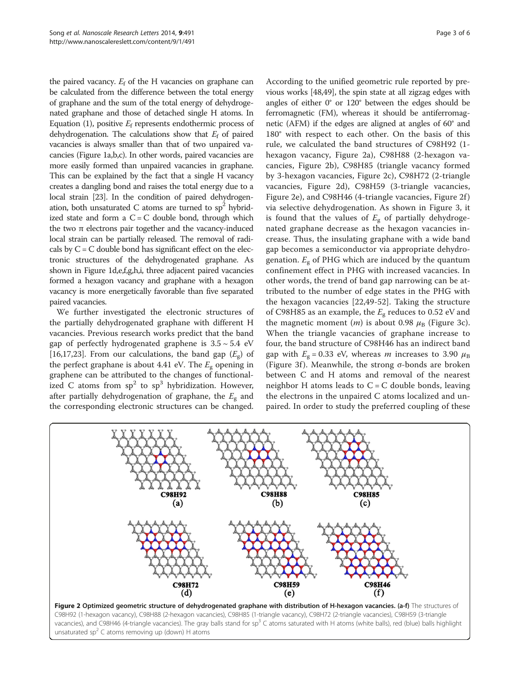the paired vacancy.  $E_f$  of the H vacancies on graphane can be calculated from the difference between the total energy of graphane and the sum of the total energy of dehydrogenated graphane and those of detached single H atoms. In Equation [\(1\)](#page-1-0), positive  $E_f$  represents endothermic process of dehydrogenation. The calculations show that  $E_f$  of paired vacancies is always smaller than that of two unpaired vacancies (Figure [1a](#page-1-0),b,c). In other words, paired vacancies are more easily formed than unpaired vacancies in graphane. This can be explained by the fact that a single H vacancy creates a dangling bond and raises the total energy due to a local strain [\[23](#page-5-0)]. In the condition of paired dehydrogenation, both unsaturated C atoms are turned to  $sp<sup>2</sup>$  hybridized state and form a  $C = C$  double bond, through which the two π electrons pair together and the vacancy-induced local strain can be partially released. The removal of radicals by  $C = C$  double bond has significant effect on the electronic structures of the dehydrogenated graphane. As shown in Figure [1d](#page-1-0),e,f,g,h,i, three adjacent paired vacancies formed a hexagon vacancy and graphane with a hexagon vacancy is more energetically favorable than five separated paired vacancies.

We further investigated the electronic structures of the partially dehydrogenated graphane with different H vacancies. Previous research works predict that the band gap of perfectly hydrogenated graphene is  $3.5 \sim 5.4$  eV [[16,17,](#page-4-0)[23\]](#page-5-0). From our calculations, the band gap  $(E_g)$  of the perfect graphane is about 4.41 eV. The  $E_g$  opening in graphene can be attributed to the changes of functionalized C atoms from  $sp^2$  to  $sp^3$  hybridization. However, after partially dehydrogenation of graphane, the  $E_g$  and the corresponding electronic structures can be changed.

According to the unified geometric rule reported by previous works [[48,49](#page-5-0)], the spin state at all zigzag edges with angles of either 0° or 120° between the edges should be ferromagnetic (FM), whereas it should be antiferromagnetic (AFM) if the edges are aligned at angles of 60° and 180° with respect to each other. On the basis of this rule, we calculated the band structures of C98H92 (1 hexagon vacancy, Figure 2a), C98H88 (2-hexagon vacancies, Figure 2b), C98H85 (triangle vacancy formed by 3-hexagon vacancies, Figure 2c), C98H72 (2-triangle vacancies, Figure 2d), C98H59 (3-triangle vacancies, Figure 2e), and C98H46 (4-triangle vacancies, Figure 2f) via selective dehydrogenation. As shown in Figure [3,](#page-3-0) it is found that the values of  $E<sub>g</sub>$  of partially dehydrogenated graphane decrease as the hexagon vacancies increase. Thus, the insulating graphane with a wide band gap becomes a semiconductor via appropriate dehydrogenation.  $E_g$  of PHG which are induced by the quantum confinement effect in PHG with increased vacancies. In other words, the trend of band gap narrowing can be attributed to the number of edge states in the PHG with the hexagon vacancies [[22,49-52\]](#page-5-0). Taking the structure of C98H85 as an example, the  $E_g$  reduces to 0.52 eV and the magnetic moment  $(m)$  is about 0.98  $\mu$ <sub>B</sub> (Figure [3c](#page-3-0)). When the triangle vacancies of graphane increase to four, the band structure of C98H46 has an indirect band gap with  $E_g = 0.33$  eV, whereas *m* increases to 3.90  $\mu_B$ (Figure [3](#page-3-0)f). Meanwhile, the strong  $\sigma$ -bonds are broken between C and H atoms and removal of the nearest neighbor H atoms leads to  $C = C$  double bonds, leaving the electrons in the unpaired C atoms localized and unpaired. In order to study the preferred coupling of these

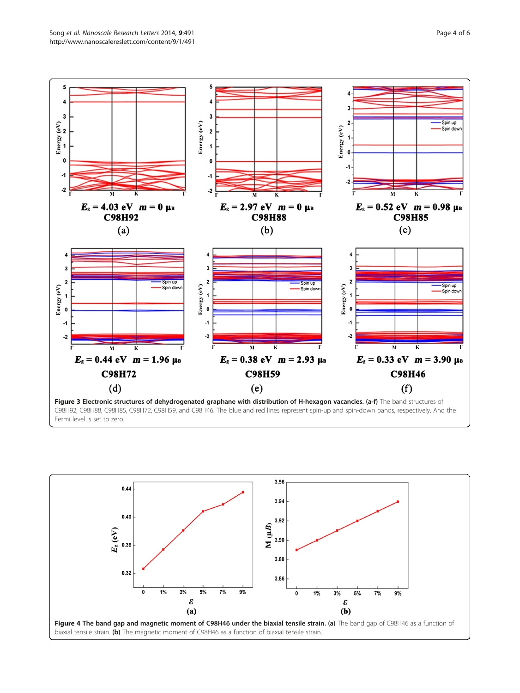

<span id="page-3-0"></span>

Figure 3 Electronic structures of dehydrogenated graphane with distribution of H-hexagon vacancies. (a-f) The band structures of C98H92, C98H88, C98H85, C98H72, C98H59, and C98H46. The blue and red lines represent spin-up and spin-down bands, respectively. And the Fermi level is set to zero.

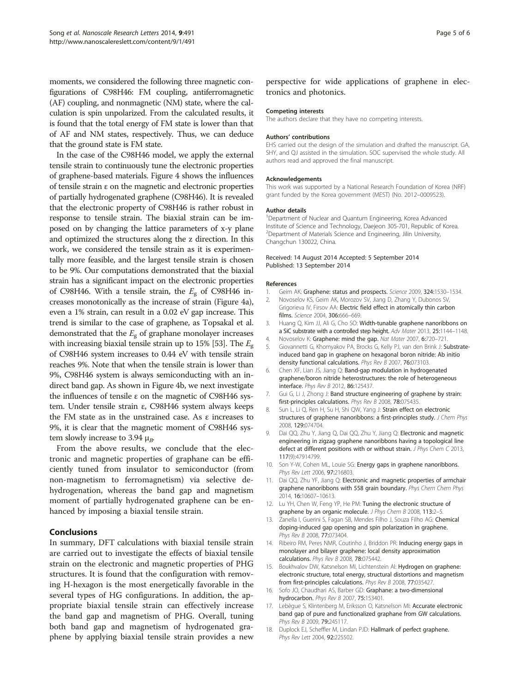<span id="page-4-0"></span>moments, we considered the following three magnetic configurations of C98H46: FM coupling, antiferromagnetic (AF) coupling, and nonmagnetic (NM) state, where the calculation is spin unpolarized. From the calculated results, it is found that the total energy of FM state is lower than that of AF and NM states, respectively. Thus, we can deduce that the ground state is FM state.

In the case of the C98H46 model, we apply the external tensile strain to continuously tune the electronic properties of graphene-based materials. Figure [4](#page-3-0) shows the influences of tensile strain ε on the magnetic and electronic properties of partially hydrogenated graphene (C98H46). It is revealed that the electronic property of C98H46 is rather robust in response to tensile strain. The biaxial strain can be imposed on by changing the lattice parameters of x-y plane and optimized the structures along the z direction. In this work, we considered the tensile strain as it is experimentally more feasible, and the largest tensile strain is chosen to be 9%. Our computations demonstrated that the biaxial strain has a significant impact on the electronic properties of C98H46. With a tensile strain, the  $E_g$  of C98H46 increases monotonically as the increase of strain (Figure [4](#page-3-0)a), even a 1% strain, can result in a 0.02 eV gap increase. This trend is similar to the case of graphene, as Topsakal et al. demonstrated that the  $E_{\rm g}$  of graphane monolayer increases with increasing biaxial tensile strain up to 15% [[53](#page-5-0)]. The  $E_{\sigma}$ of C98H46 system increases to 0.44 eV with tensile strain reaches 9%. Note that when the tensile strain is lower than 9%, C98H46 system is always semiconducting with an indirect band gap. As shown in Figure [4](#page-3-0)b, we next investigate the influences of tensile ε on the magnetic of C98H46 system. Under tensile strain ε, C98H46 system always keeps the FM state as in the unstrained case. As ε increases to 9%, it is clear that the magnetic moment of C98H46 system slowly increase to 3.94  $\mu_B$ .

From the above results, we conclude that the electronic and magnetic properties of graphane can be efficiently tuned from insulator to semiconductor (from non-magnetism to ferromagnetism) via selective dehydrogenation, whereas the band gap and magnetism moment of partially hydrogenated graphene can be enhanced by imposing a biaxial tensile strain.

## Conclusions

In summary, DFT calculations with biaxial tensile strain are carried out to investigate the effects of biaxial tensile strain on the electronic and magnetic properties of PHG structures. It is found that the configuration with removing H-hexagon is the most energetically favorable in the several types of HG configurations. In addition, the appropriate biaxial tensile strain can effectively increase the band gap and magnetism of PHG. Overall, tuning both band gap and magnetism of hydrogenated graphene by applying biaxial tensile strain provides a new perspective for wide applications of graphene in electronics and photonics.

#### Competing interests

The authors declare that they have no competing interests.

#### Authors' contributions

EHS carried out the design of the simulation and drafted the manuscript. GA, SHY, and QJ assisted in the simulation. SOC supervised the whole study. All authors read and approved the final manuscript.

#### Acknowledgements

This work was supported by a National Research Foundation of Korea (NRF) grant funded by the Korea government (MEST) (No. 2012–0009523).

## Author details

<sup>1</sup>Department of Nuclear and Quantum Engineering, Korea Advanced Institute of Science and Technology, Daejeon 305-701, Republic of Korea. <sup>2</sup>Department of Materials Science and Engineering, Jilin University Changchun 130022, China.

#### Received: 14 August 2014 Accepted: 5 September 2014 Published: 13 September 2014

#### References

- 1. Geim AK: Graphene: status and prospects. Science 2009, 324:1530-1534.
- 2. Novoselov KS, Geim AK, Morozov SV, Jiang D, Zhang Y, Dubonos SV, Grigorieva IV, Firsov AA: Electric field effect in atomically thin carbon films. Science 2004, 306:666-669.
- 3. Huang Q, Kim JJ, Ali G, Cho SO: Width-tunable graphene nanoribbons on a SiC substrate with a controlled step height. Adv Mater 2013, 25:1144–1148.
- 4. Novoselov K: Graphene: mind the gap. Nat Mater 2007, 6:720-721.
- 5. Giovannetti G, Khomyakov PA, Brocks G, Kelly PJ, van den Brink J: Substrateinduced band gap in graphene on hexagonal boron nitride: Ab initio density functional calculations. Phys Rev B 2007, 76:073103.
- 6. Chen XF, Lian JS, Jiang Q: Band-gap modulation in hydrogenated graphene/boron nitride heterostructures: the role of heterogeneous interface. Phys Rev B 2012, 86:125437.
- 7. Gui G, Li J, Zhong J: Band structure engineering of graphene by strain: first-principles calculations. Phys Rev B 2008, 78:075435.
- 8. Sun L, Li Q, Ren H, Su H, Shi QW, Yang J: Strain effect on electronic structures of graphene nanoribbons: a first-principles study. J Chem Phys 2008, 129:074704.
- 9. Dai QQ, Zhu Y, Jiang Q, Dai QQ, Zhu Y, Jiang Q: Electronic and magnetic engineering in zigzag graphene nanoribbons having a topological line defect at different positions with or without strain. J Phys Chem C 2013, 117(9):47914799.
- 10. Son Y-W, Cohen ML, Louie SG: Energy gaps in graphene nanoribbons. Phys Rev Lett 2006, 97:216803.
- 11. Dai QQ, Zhu YF, Jiang Q: Electronic and magnetic properties of armchair graphene nanoribbons with 558 grain boundary. Phys Chem Chem Phys 2014, 16:10607–10613.
- 12. Lu YH, Chen W, Feng YP, He PM: Tuning the electronic structure of graphene by an organic molecule. J Phys Chem B 2008, 113:2-5
- 13. Zanella I, Guerini S, Fagan SB, Mendes Filho J, Souza Filho AG: Chemical doping-induced gap opening and spin polarization in graphene. Phys Rev B 2008, 77:073404.
- 14. Ribeiro RM, Peres NMR, Coutinho J, Briddon PR: Inducing energy gaps in monolayer and bilayer graphene: local density approximation calculations. Phys Rev B 2008, 78:075442.
- 15. Boukhvalov DW, Katsnelson MI, Lichtenstein AI: Hydrogen on graphene: electronic structure, total energy, structural distortions and magnetism from first-principles calculations. Phys Rev B 2008, 77:035427.
- 16. Sofo JO, Chaudhari AS, Barber GD: Graphane: a two-dimensional hydrocarbon. Phys Rev B 2007, 75:153401.
- 17. Lebègue S, Klintenberg M, Eriksson O, Katsnelson MI: Accurate electronic band gap of pure and functionalized graphane from GW calculations. Phys Rev B 2009, 79:245117.
- 18. Duplock EJ, Scheffler M, Lindan PJD: Hallmark of perfect graphene. Phys Rev Lett 2004, 92:225502.